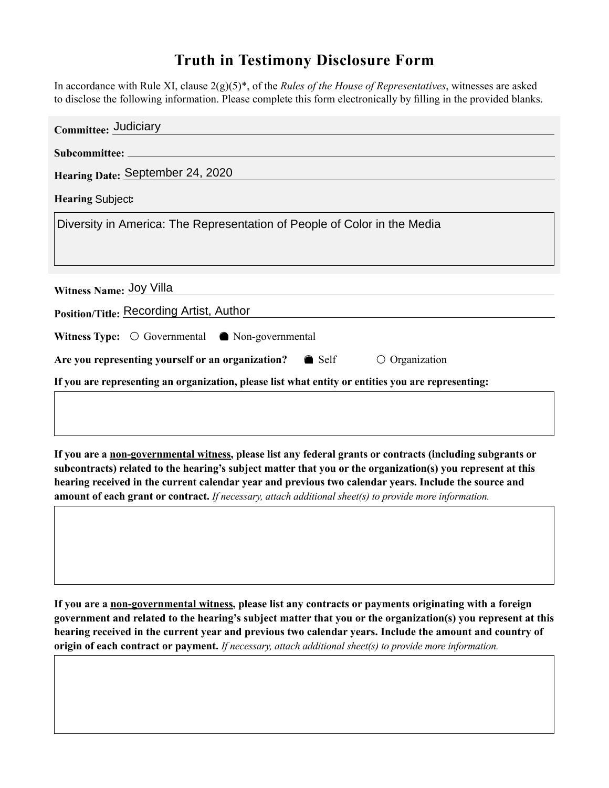## **Truth in Testimony Disclosure Form**

In accordance with Rule XI, clause 2(g)(5)\*, of the *Rules of the House of Representatives*, witnesses are asked to disclose the following information. Please complete this form electronically by filling in the provided blanks.

| Committee: Judiciary                                                                               |  |
|----------------------------------------------------------------------------------------------------|--|
|                                                                                                    |  |
| Hearing Date: September 24, 2020                                                                   |  |
| Hearing Subject  v                                                                                 |  |
| Diversity in America: The Representation of People of Color in the Media                           |  |
| Witness Name: Joy Villa                                                                            |  |
| Position/Title: Recording Artist, Author                                                           |  |
| Witness Type: $\odot$ Governmental $\odot$ Non-governmental                                        |  |
| Are you representing yourself or an organization? <b>O</b> Self<br><b>O</b> Organization           |  |
| If you are representing an organization, please list what entity or entities you are representing: |  |

**If you are a non-governmental witness, please list any federal grants or contracts (including subgrants or subcontracts) related to the hearing's subject matter that you or the organization(s) you represent at this hearing received in the current calendar year and previous two calendar years. Include the source and amount of each grant or contract.** *If necessary, attach additional sheet(s) to provide more information.*

**If you are a non-governmental witness, please list any contracts or payments originating with a foreign government and related to the hearing's subject matter that you or the organization(s) you represent at this hearing received in the current year and previous two calendar years. Include the amount and country of origin of each contract or payment.** *If necessary, attach additional sheet(s) to provide more information.*